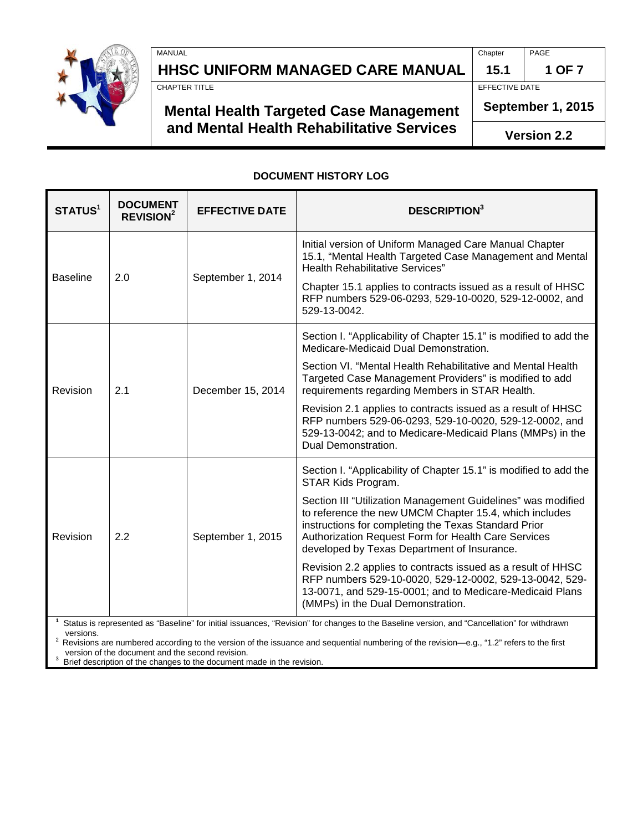

**HHSC UNIFORM MANAGED CARE MANUAL 15.1 1 OF 7**<br>CHAPTER TITLE

### **Mental Health Targeted Case Management and Mental Health Rehabilitative Services**

MANUAL Chapter PAGE

EFFECTIVE DATE

**September 1, 2015**

**Version 2.2**

#### **DOCUMENT HISTORY LOG**

| STATUS <sup>1</sup> | <b>DOCUMENT</b><br><b>REVISION<sup>2</sup></b> | <b>EFFECTIVE DATE</b> | <b>DESCRIPTION</b> <sup>3</sup>                                                                                                                                                                                                                                                      |
|---------------------|------------------------------------------------|-----------------------|--------------------------------------------------------------------------------------------------------------------------------------------------------------------------------------------------------------------------------------------------------------------------------------|
| <b>Baseline</b>     | 2.0                                            | September 1, 2014     | Initial version of Uniform Managed Care Manual Chapter<br>15.1, "Mental Health Targeted Case Management and Mental<br>Health Rehabilitative Services"                                                                                                                                |
|                     |                                                |                       | Chapter 15.1 applies to contracts issued as a result of HHSC<br>RFP numbers 529-06-0293, 529-10-0020, 529-12-0002, and<br>529-13-0042.                                                                                                                                               |
| Revision            | 2.1                                            | December 15, 2014     | Section I. "Applicability of Chapter 15.1" is modified to add the<br>Medicare-Medicaid Dual Demonstration.                                                                                                                                                                           |
|                     |                                                |                       | Section VI. "Mental Health Rehabilitative and Mental Health<br>Targeted Case Management Providers" is modified to add<br>requirements regarding Members in STAR Health.                                                                                                              |
|                     |                                                |                       | Revision 2.1 applies to contracts issued as a result of HHSC<br>RFP numbers 529-06-0293, 529-10-0020, 529-12-0002, and<br>529-13-0042; and to Medicare-Medicaid Plans (MMPs) in the<br>Dual Demonstration.                                                                           |
| Revision            | 2.2                                            | September 1, 2015     | Section I. "Applicability of Chapter 15.1" is modified to add the<br>STAR Kids Program.                                                                                                                                                                                              |
|                     |                                                |                       | Section III "Utilization Management Guidelines" was modified<br>to reference the new UMCM Chapter 15.4, which includes<br>instructions for completing the Texas Standard Prior<br>Authorization Request Form for Health Care Services<br>developed by Texas Department of Insurance. |
|                     |                                                |                       | Revision 2.2 applies to contracts issued as a result of HHSC<br>RFP numbers 529-10-0020, 529-12-0002, 529-13-0042, 529-<br>13-0071, and 529-15-0001; and to Medicare-Medicaid Plans<br>(MMPs) in the Dual Demonstration.                                                             |
| versions.           |                                                |                       | Status is represented as "Baseline" for initial issuances, "Revision" for changes to the Baseline version, and "Cancellation" for withdrawn                                                                                                                                          |

versions.<br><sup>2</sup> Revisions are numbered according to the version of the issuance and sequential numbering of the revision—e.g., "1.2" refers to the first version of the document and the second revision.<br><sup>3</sup> Priof doorrintion of the observes to the document r

<span id="page-0-0"></span><sup>3</sup> Brief description of the changes to the document made in the revision.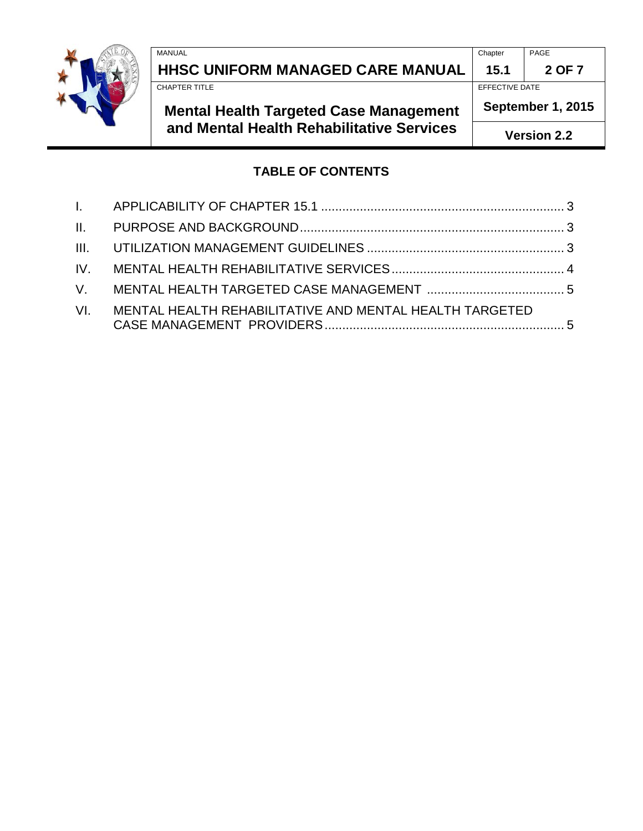

**HHSC UNIFORM MANAGED CARE MANUAL 15.1 2 OF 7**

# **Mental Health Targeted Case Management and Mental Health Rehabilitative Services**

MANUAL Chapter PAGE

EFFECTIVE DATE

**September 1, 2015**

**Version 2.2**

### **TABLE OF CONTENTS**

| VI. MENTAL HEALTH REHABILITATIVE AND MENTAL HEALTH TARGETED |  |
|-------------------------------------------------------------|--|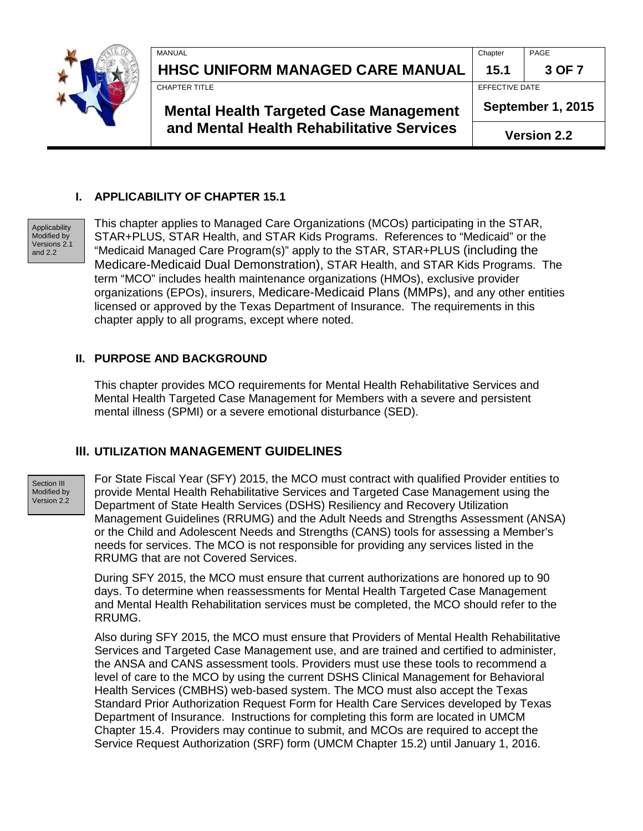

| MANUAL                                  | Chapter        | PAGE   |
|-----------------------------------------|----------------|--------|
| <b>HHSC UNIFORM MANAGED CARE MANUAL</b> | 15.1           | 3 OF 7 |
| <b>CHAPTER TITLE</b>                    | EFFECTIVE DATE |        |

**Mental Health Targeted Case Management and Mental Health Rehabilitative Services**

**September 1, 2015**

**Version 2.2**

### <span id="page-2-0"></span>**I. APPLICABILITY OF CHAPTER 15.1**

Applicability Modified by Versions 2.1 and 2.2

This chapter applies to Managed Care Organizations (MCOs) participating in the STAR, STAR+PLUS, STAR Health, and STAR Kids Programs. References to "Medicaid" or the "Medicaid Managed Care Program(s)" apply to the STAR, STAR+PLUS (including the Medicare-Medicaid Dual Demonstration), STAR Health, and STAR Kids Programs. The term "MCO" includes health maintenance organizations (HMOs), exclusive provider organizations (EPOs), insurers, Medicare-Medicaid Plans (MMPs), and any other entities licensed or approved by the Texas Department of Insurance. The requirements in this chapter apply to all programs, except where noted.

#### <span id="page-2-1"></span>**II. PURPOSE AND BACKGROUND**

This chapter provides MCO requirements for Mental Health Rehabilitative Services and Mental Health Targeted Case Management for Members with a severe and persistent mental illness (SPMI) or a severe emotional disturbance (SED).

### <span id="page-2-2"></span>**III. UTILIZATION MANAGEMENT GUIDELINES**

Section III Modified by Version 2.2

For State Fiscal Year (SFY) 2015, the MCO must contract with qualified Provider entities to provide Mental Health Rehabilitative Services and Targeted Case Management using the Department of State Health Services (DSHS) Resiliency and Recovery Utilization Management Guidelines (RRUMG) and the Adult Needs and Strengths Assessment (ANSA) or the Child and Adolescent Needs and Strengths (CANS) tools for assessing a Member's needs for services. The MCO is not responsible for providing any services listed in the RRUMG that are not Covered Services.

During SFY 2015, the MCO must ensure that current authorizations are honored up to 90 days. To determine when reassessments for Mental Health Targeted Case Management and Mental Health Rehabilitation services must be completed, the MCO should refer to the RRUMG.

Also during SFY 2015, the MCO must ensure that Providers of Mental Health Rehabilitative Services and Targeted Case Management use, and are trained and certified to administer, the ANSA and CANS assessment tools. Providers must use these tools to recommend a level of care to the MCO by using the current DSHS Clinical Management for Behavioral Health Services (CMBHS) web-based system. The MCO must also accept the Texas Standard Prior Authorization Request Form for Health Care Services developed by Texas Department of Insurance. Instructions for completing this form are located in UMCM Chapter 15.4. Providers may continue to submit, and MCOs are required to accept the Service Request Authorization (SRF) form (UMCM Chapter 15.2) until January 1, 2016.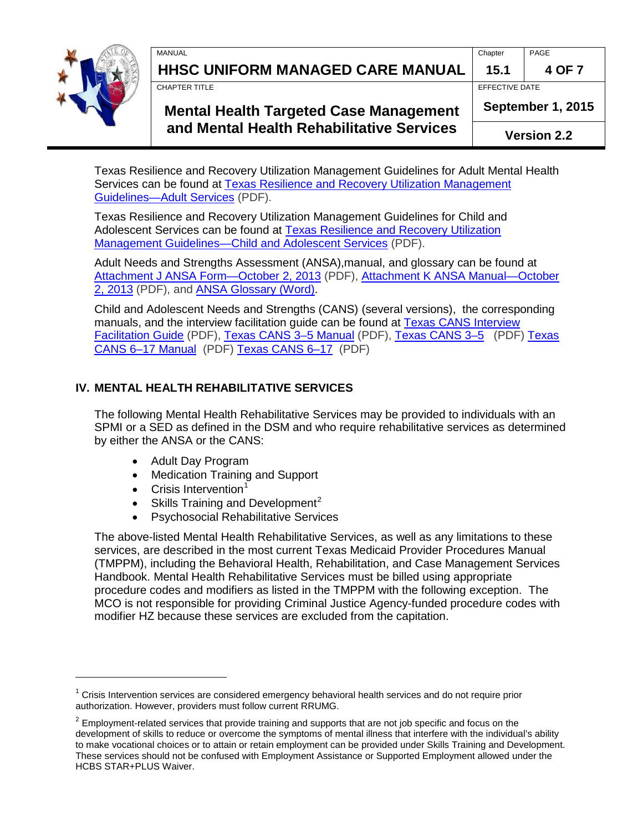

 $\overline{a}$ 

**HHSC UNIFORM MANAGED CARE MANUAL 15.1 4 OF 7**

MANUAL Chapter PAGE

CHAPTER TITLE **EFFECTIVE DATE** 

## **Mental Health Targeted Case Management and Mental Health Rehabilitative Services**

**September 1, 2015**

**Version 2.2**

Texas Resilience and Recovery Utilization Management Guidelines for Adult Mental Health Services can be found at [Texas Resilience and Recovery Utilization Management](http://www.dshs.state.tx.us/WorkArea/linkit.aspx?LinkIdentifier=id&ItemID=8589981162)  [Guidelines—Adult Services](http://www.dshs.state.tx.us/WorkArea/linkit.aspx?LinkIdentifier=id&ItemID=8589981162) (PDF).

Texas Resilience and Recovery Utilization Management Guidelines for Child and Adolescent Services can be found at [Texas Resilience and Recovery Utilization](http://www.dshs.state.tx.us/WorkArea/linkit.aspx?LinkIdentifier=id&ItemID=8589979570)  [Management Guidelines—Child and Adolescent Services](http://www.dshs.state.tx.us/WorkArea/linkit.aspx?LinkIdentifier=id&ItemID=8589979570) (PDF).

Adult Needs and Strengths Assessment (ANSA),manual, and glossary can be found at Attachment J ANSA Form-October 2, 2013 (PDF), Attachment K ANSA Manual-October [2, 2013](http://www.dshs.state.tx.us/WorkArea/linkit.aspx?LinkIdentifier=id&ItemID=8589981444) (PDF), and [ANSA Glossary](http://www.dshs.state.tx.us/WorkArea/linkit.aspx?LinkIdentifier=id&ItemID=8589977053) (Word).

Child and Adolescent Needs and Strengths (CANS) (several versions), the corresponding manuals, and the interview facilitation guide can be found at **Texas CANS Interview** [Facilitation Guide](http://www.dshs.state.tx.us/WorkArea/linkit.aspx?LinkIdentifier=id&ItemID=8589977059) (PDF), [Texas CANS 3–5 Manual](http://www.dshs.state.tx.us/WorkArea/linkit.aspx?LinkIdentifier=id&ItemID=8589977055) (PDF), [Texas CANS 3–5](http://www.dshs.state.tx.us/WorkArea/linkit.aspx?LinkIdentifier=id&ItemID=8589977056) (PDF) [Texas](http://www.dshs.state.tx.us/WorkArea/linkit.aspx?LinkIdentifier=id&ItemID=8589977057)  [CANS 6–17 Manual](http://www.dshs.state.tx.us/WorkArea/linkit.aspx?LinkIdentifier=id&ItemID=8589977057) (PDF) [Texas CANS 6–17](http://www.dshs.state.tx.us/WorkArea/linkit.aspx?LinkIdentifier=id&ItemID=8589977058) (PDF)

### <span id="page-3-0"></span>**IV. MENTAL HEALTH REHABILITATIVE SERVICES**

The following Mental Health Rehabilitative Services may be provided to individuals with an SPMI or a SED as defined in the DSM and who require rehabilitative services as determined by either the ANSA or the CANS:

- Adult Day Program
- Medication Training and Support
- $\bullet$  Crisis Intervention<sup>[1](#page-0-0)</sup>
- Skills Training and Development<sup>[2](#page-3-1)</sup>
- Psychosocial Rehabilitative Services

The above-listed Mental Health Rehabilitative Services, as well as any limitations to these services, are described in the most current Texas Medicaid Provider Procedures Manual (TMPPM), including the Behavioral Health, Rehabilitation, and Case Management Services Handbook. Mental Health Rehabilitative Services must be billed using appropriate procedure codes and modifiers as listed in the TMPPM with the following exception. The MCO is not responsible for providing Criminal Justice Agency-funded procedure codes with modifier HZ because these services are excluded from the capitation.

 $1$  Crisis Intervention services are considered emergency behavioral health services and do not require prior authorization. However, providers must follow current RRUMG.

<span id="page-3-1"></span> $2$  Employment-related services that provide training and supports that are not job specific and focus on the development of skills to reduce or overcome the symptoms of mental illness that interfere with the individual's ability to make vocational choices or to attain or retain employment can be provided under Skills Training and Development. These services should not be confused with Employment Assistance or Supported Employment allowed under the HCBS STAR+PLUS Waiver.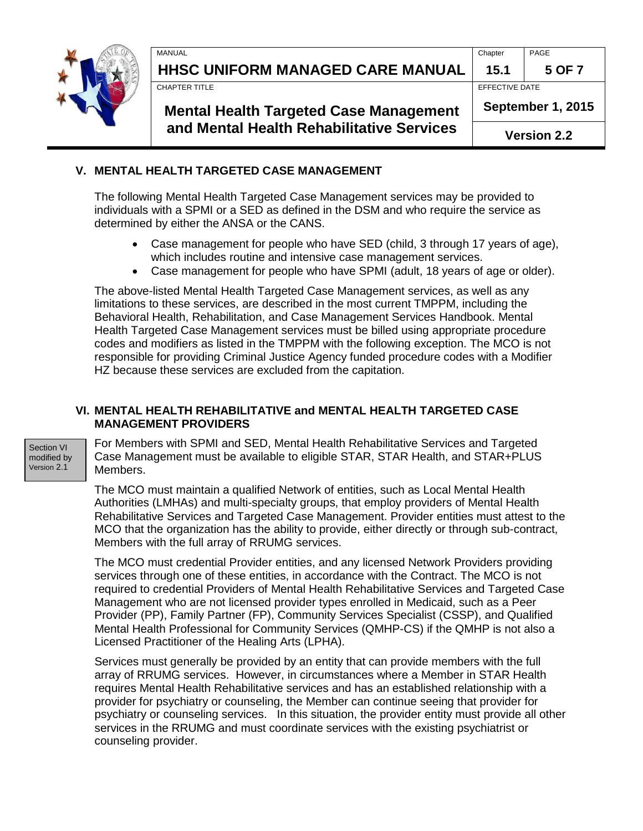

**HHSC UNIFORM MANAGED CARE MANUAL 15.1 5 OF 7**

CHAPTER TITLE **EFFECTIVE DATE** 

### **Mental Health Targeted Case Management and Mental Health Rehabilitative Services**

MANUAL Chapter PAGE

**September 1, 2015**

**Version 2.2**

#### <span id="page-4-0"></span>**V. MENTAL HEALTH TARGETED CASE MANAGEMENT De**

The following Mental Health Targeted Case Management services may be provided to individuals with a SPMI or a SED as defined in the DSM and who require the service as determined by either the ANSA or the CANS.

- Case management for people who have SED (child, 3 through 17 years of age), which includes routine and intensive case management services.
- Case management for people who have SPMI (adult, 18 years of age or older).

The above-listed Mental Health Targeted Case Management services, as well as any limitations to these services, are described in the most current TMPPM, including the Behavioral Health, Rehabilitation, and Case Management Services Handbook. Mental Health Targeted Case Management services must be billed using appropriate procedure codes and modifiers as listed in the TMPPM with the following exception. The MCO is not responsible for providing Criminal Justice Agency funded procedure codes with a Modifier HZ because these services are excluded from the capitation.

#### <span id="page-4-1"></span>**VI. MENTAL HEALTH REHABILITATIVE and MENTAL HEALTH TARGETED CASE MANAGEMENT PROVIDERS**

Section VI modified by Version 2.1

For Members with SPMI and SED, Mental Health Rehabilitative Services and Targeted Case Management must be available to eligible STAR, STAR Health, and STAR+PLUS Members.

The MCO must maintain a qualified Network of entities, such as Local Mental Health Authorities (LMHAs) and multi-specialty groups, that employ providers of Mental Health Rehabilitative Services and Targeted Case Management. Provider entities must attest to the MCO that the organization has the ability to provide, either directly or through sub-contract, Members with the full array of RRUMG services.

The MCO must credential Provider entities, and any licensed Network Providers providing services through one of these entities, in accordance with the Contract. The MCO is not required to credential Providers of Mental Health Rehabilitative Services and Targeted Case Management who are not licensed provider types enrolled in Medicaid, such as a Peer Provider (PP), Family Partner (FP), Community Services Specialist (CSSP), and Qualified Mental Health Professional for Community Services (QMHP-CS) if the QMHP is not also a Licensed Practitioner of the Healing Arts (LPHA).

Services must generally be provided by an entity that can provide members with the full array of RRUMG services. However, in circumstances where a Member in STAR Health requires Mental Health Rehabilitative services and has an established relationship with a provider for psychiatry or counseling, the Member can continue seeing that provider for psychiatry or counseling services. In this situation, the provider entity must provide all other services in the RRUMG and must coordinate services with the existing psychiatrist or counseling provider.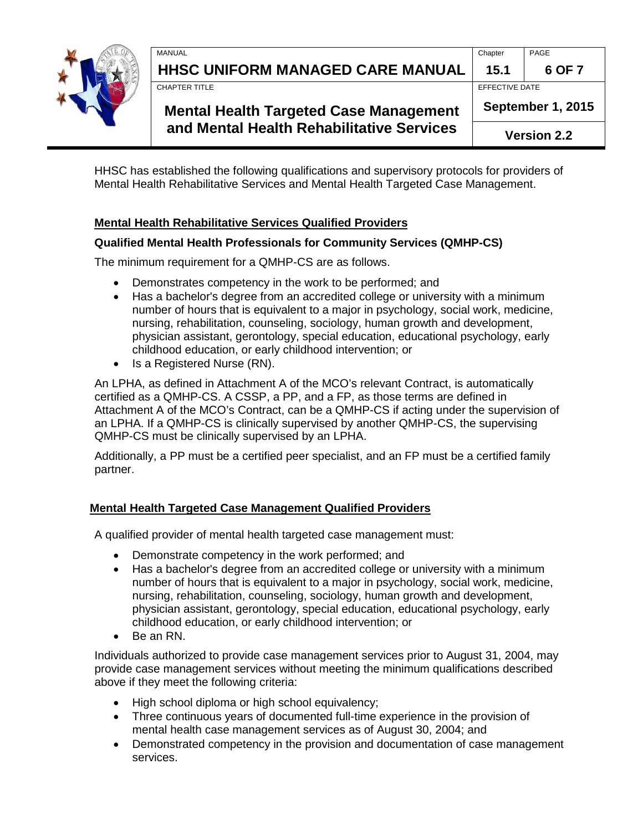

**HHSC UNIFORM MANAGED CARE MANUAL 15.1 6 OF 7**

CHAPTER TITLE **EFFECTIVE DATE** 

## **Mental Health Targeted Case Management and Mental Health Rehabilitative Services**

MANUAL Chapter PAGE

**September 1, 2015**

**Version 2.2**

HHSC has established the following qualifications and supervisory protocols for providers of Mental Health Rehabilitative Services and Mental Health Targeted Case Management.

### **Mental Health Rehabilitative Services Qualified Providers**

### **Qualified Mental Health Professionals for Community Services (QMHP-CS)**

The minimum requirement for a QMHP-CS are as follows.

- Demonstrates competency in the work to be performed; and
- Has a bachelor's degree from an accredited college or university with a minimum number of hours that is equivalent to a major in psychology, social work, medicine, nursing, rehabilitation, counseling, sociology, human growth and development, physician assistant, gerontology, special education, educational psychology, early childhood education, or early childhood intervention; or
- Is a Registered Nurse (RN).

An LPHA, as defined in Attachment A of the MCO's relevant Contract, is automatically certified as a QMHP-CS. A CSSP, a PP, and a FP, as those terms are defined in Attachment A of the MCO's Contract, can be a QMHP-CS if acting under the supervision of an LPHA. If a QMHP-CS is clinically supervised by another QMHP-CS, the supervising QMHP-CS must be clinically supervised by an LPHA.

Additionally, a PP must be a certified peer specialist, and an FP must be a certified family partner.

### **Mental Health Targeted Case Management Qualified Providers**

A qualified provider of mental health targeted case management must:

- Demonstrate competency in the work performed; and
- Has a bachelor's degree from an accredited college or university with a minimum number of hours that is equivalent to a major in psychology, social work, medicine, nursing, rehabilitation, counseling, sociology, human growth and development, physician assistant, gerontology, special education, educational psychology, early childhood education, or early childhood intervention; or
- Be an RN.

Individuals authorized to provide case management services prior to August 31, 2004, may provide case management services without meeting the minimum qualifications described above if they meet the following criteria:

- High school diploma or high school equivalency;
- Three continuous years of documented full-time experience in the provision of mental health case management services as of August 30, 2004; and
- Demonstrated competency in the provision and documentation of case management services.